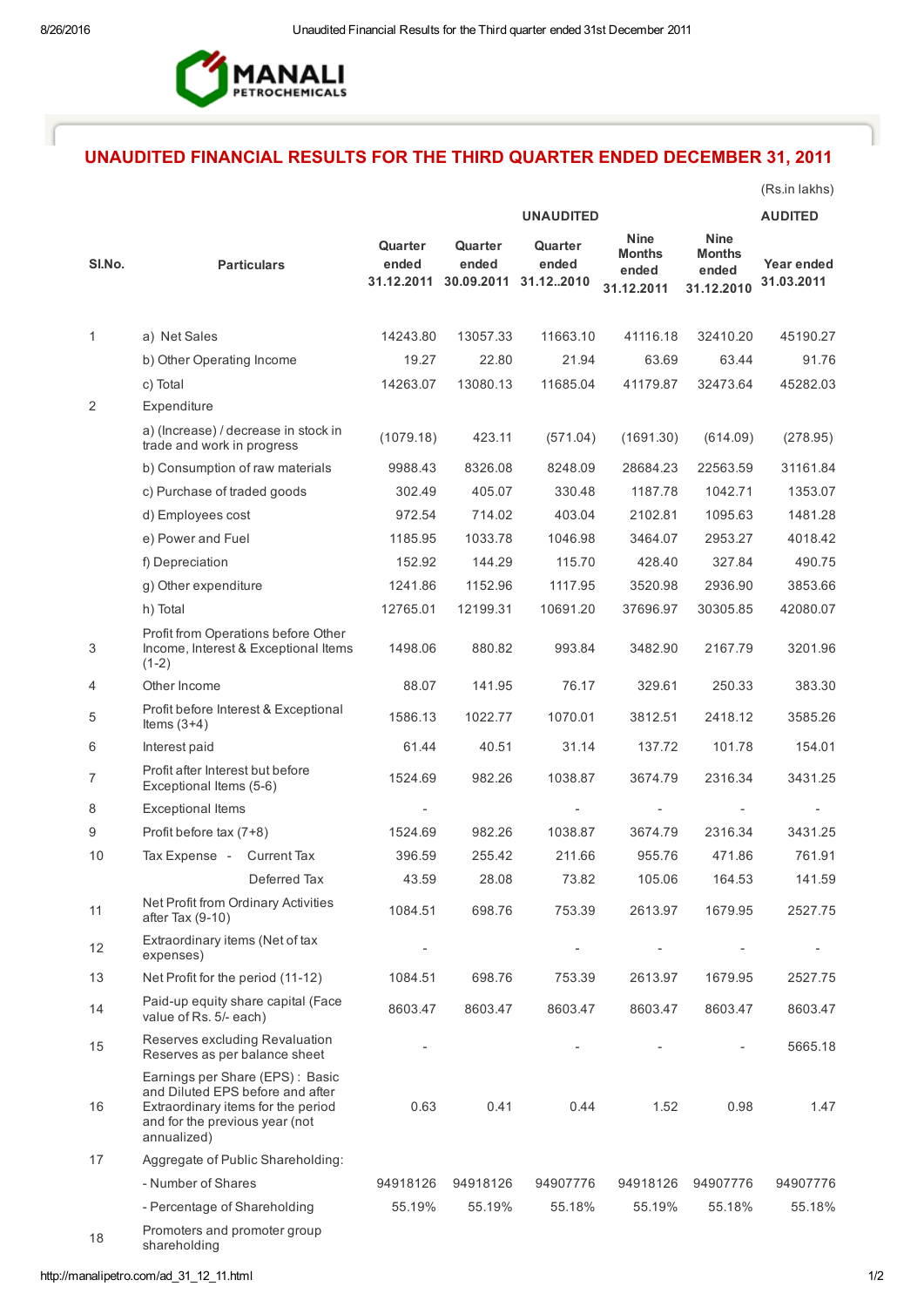

## UNAUDITED FINANCIAL RESULTS FOR THE THIRD QUARTER ENDED DECEMBER 31, 2011

(Rs.in lakhs)

|                |                                                                                                                                                            | <b>UNAUDITED</b>               |                                |                               |                                                     |                                                     | <b>AUDITED</b>           |
|----------------|------------------------------------------------------------------------------------------------------------------------------------------------------------|--------------------------------|--------------------------------|-------------------------------|-----------------------------------------------------|-----------------------------------------------------|--------------------------|
| SI.No.         | <b>Particulars</b>                                                                                                                                         | Quarter<br>ended<br>31.12.2011 | Quarter<br>ended<br>30.09.2011 | Quarter<br>ended<br>31.122010 | <b>Nine</b><br><b>Months</b><br>ended<br>31.12.2011 | <b>Nine</b><br><b>Months</b><br>ended<br>31.12.2010 | Year ended<br>31.03.2011 |
| 1              | a) Net Sales                                                                                                                                               | 14243.80                       | 13057.33                       | 11663.10                      | 41116.18                                            | 32410.20                                            | 45190.27                 |
|                | b) Other Operating Income                                                                                                                                  | 19.27                          | 22.80                          | 21.94                         | 63.69                                               | 63.44                                               | 91.76                    |
|                | c) Total                                                                                                                                                   | 14263.07                       | 13080.13                       | 11685.04                      | 41179.87                                            | 32473.64                                            | 45282.03                 |
| $\overline{2}$ | Expenditure                                                                                                                                                |                                |                                |                               |                                                     |                                                     |                          |
|                | a) (Increase) / decrease in stock in<br>trade and work in progress                                                                                         | (1079.18)                      | 423.11                         | (571.04)                      | (1691.30)                                           | (614.09)                                            | (278.95)                 |
|                | b) Consumption of raw materials                                                                                                                            | 9988.43                        | 8326.08                        | 8248.09                       | 28684.23                                            | 22563.59                                            | 31161.84                 |
|                | c) Purchase of traded goods                                                                                                                                | 302.49                         | 405.07                         | 330.48                        | 1187.78                                             | 1042.71                                             | 1353.07                  |
|                | d) Employees cost                                                                                                                                          | 972.54                         | 714.02                         | 403.04                        | 2102.81                                             | 1095.63                                             | 1481.28                  |
|                | e) Power and Fuel                                                                                                                                          | 1185.95                        | 1033.78                        | 1046.98                       | 3464.07                                             | 2953.27                                             | 4018.42                  |
|                | f) Depreciation                                                                                                                                            | 152.92                         | 144.29                         | 115.70                        | 428.40                                              | 327.84                                              | 490.75                   |
|                | g) Other expenditure                                                                                                                                       | 1241.86                        | 1152.96                        | 1117.95                       | 3520.98                                             | 2936.90                                             | 3853.66                  |
|                | h) Total                                                                                                                                                   | 12765.01                       | 12199.31                       | 10691.20                      | 37696.97                                            | 30305.85                                            | 42080.07                 |
| 3              | Profit from Operations before Other<br>Income, Interest & Exceptional Items<br>$(1-2)$                                                                     | 1498.06                        | 880.82                         | 993.84                        | 3482.90                                             | 2167.79                                             | 3201.96                  |
| 4              | Other Income                                                                                                                                               | 88.07                          | 141.95                         | 76.17                         | 329.61                                              | 250.33                                              | 383.30                   |
| 5              | Profit before Interest & Exceptional<br>Items $(3+4)$                                                                                                      | 1586.13                        | 1022.77                        | 1070.01                       | 3812.51                                             | 2418.12                                             | 3585.26                  |
| 6              | Interest paid                                                                                                                                              | 61.44                          | 40.51                          | 31.14                         | 137.72                                              | 101.78                                              | 154.01                   |
| 7              | Profit after Interest but before<br>Exceptional Items (5-6)                                                                                                | 1524.69                        | 982.26                         | 1038.87                       | 3674.79                                             | 2316.34                                             | 3431.25                  |
| 8              | <b>Exceptional Items</b>                                                                                                                                   |                                |                                |                               |                                                     |                                                     |                          |
| 9              | Profit before tax (7+8)                                                                                                                                    | 1524.69                        | 982.26                         | 1038.87                       | 3674.79                                             | 2316.34                                             | 3431.25                  |
| 10             | Tax Expense - Current Tax                                                                                                                                  | 396.59                         | 255.42                         | 211.66                        | 955.76                                              | 471.86                                              | 761.91                   |
|                | Deferred Tax                                                                                                                                               | 43.59                          | 28.08                          | 73.82                         | 105.06                                              | 164.53                                              | 141.59                   |
| 11             | Net Profit from Ordinary Activities<br>after Tax (9-10)                                                                                                    | 1084.51                        | 698.76                         | 753.39                        | 2613.97                                             | 1679.95                                             | 2527.75                  |
| 12             | Extraordinary items (Net of tax<br>expenses)                                                                                                               |                                |                                |                               |                                                     |                                                     |                          |
| 13             | Net Profit for the period (11-12)                                                                                                                          | 1084.51                        | 698.76                         | 753.39                        | 2613.97                                             | 1679.95                                             | 2527.75                  |
| 14             | Paid-up equity share capital (Face<br>value of Rs. 5/- each)                                                                                               | 8603.47                        | 8603.47                        | 8603.47                       | 8603.47                                             | 8603.47                                             | 8603.47                  |
| 15             | Reserves excluding Revaluation<br>Reserves as per balance sheet                                                                                            |                                |                                |                               |                                                     |                                                     | 5665.18                  |
| 16             | Earnings per Share (EPS): Basic<br>and Diluted EPS before and after<br>Extraordinary items for the period<br>and for the previous year (not<br>annualized) | 0.63                           | 0.41                           | 0.44                          | 1.52                                                | 0.98                                                | 1.47                     |
| 17             | Aggregate of Public Shareholding:                                                                                                                          |                                |                                |                               |                                                     |                                                     |                          |
|                | - Number of Shares                                                                                                                                         | 94918126                       | 94918126                       | 94907776                      | 94918126                                            | 94907776                                            | 94907776                 |
|                | - Percentage of Shareholding                                                                                                                               | 55.19%                         | 55.19%                         | 55.18%                        | 55.19%                                              | 55.18%                                              | 55.18%                   |
| 18             | Promoters and promoter group<br>shareholding                                                                                                               |                                |                                |                               |                                                     |                                                     |                          |